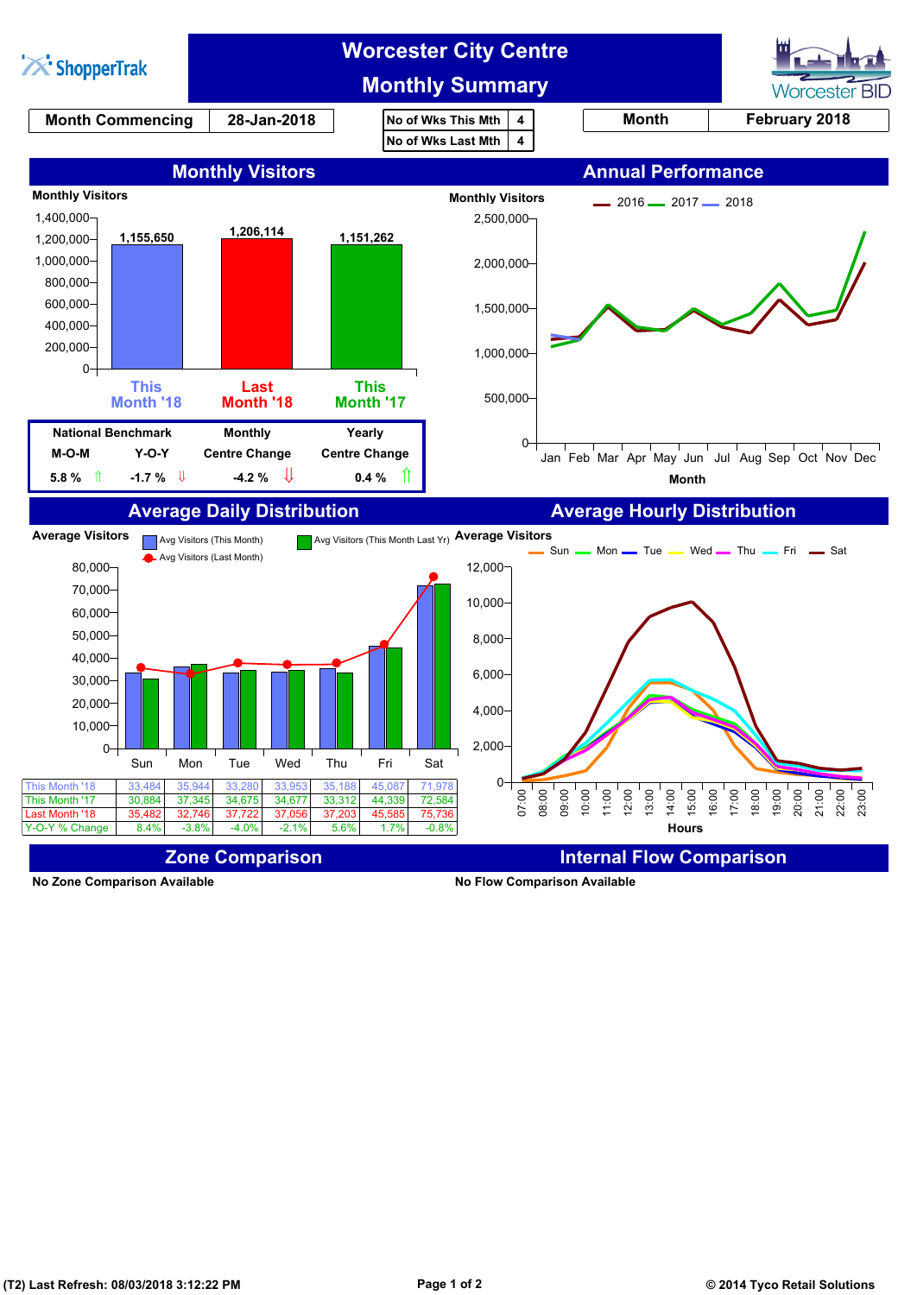

**No Zone Comparison Available No Flow Comparison Available**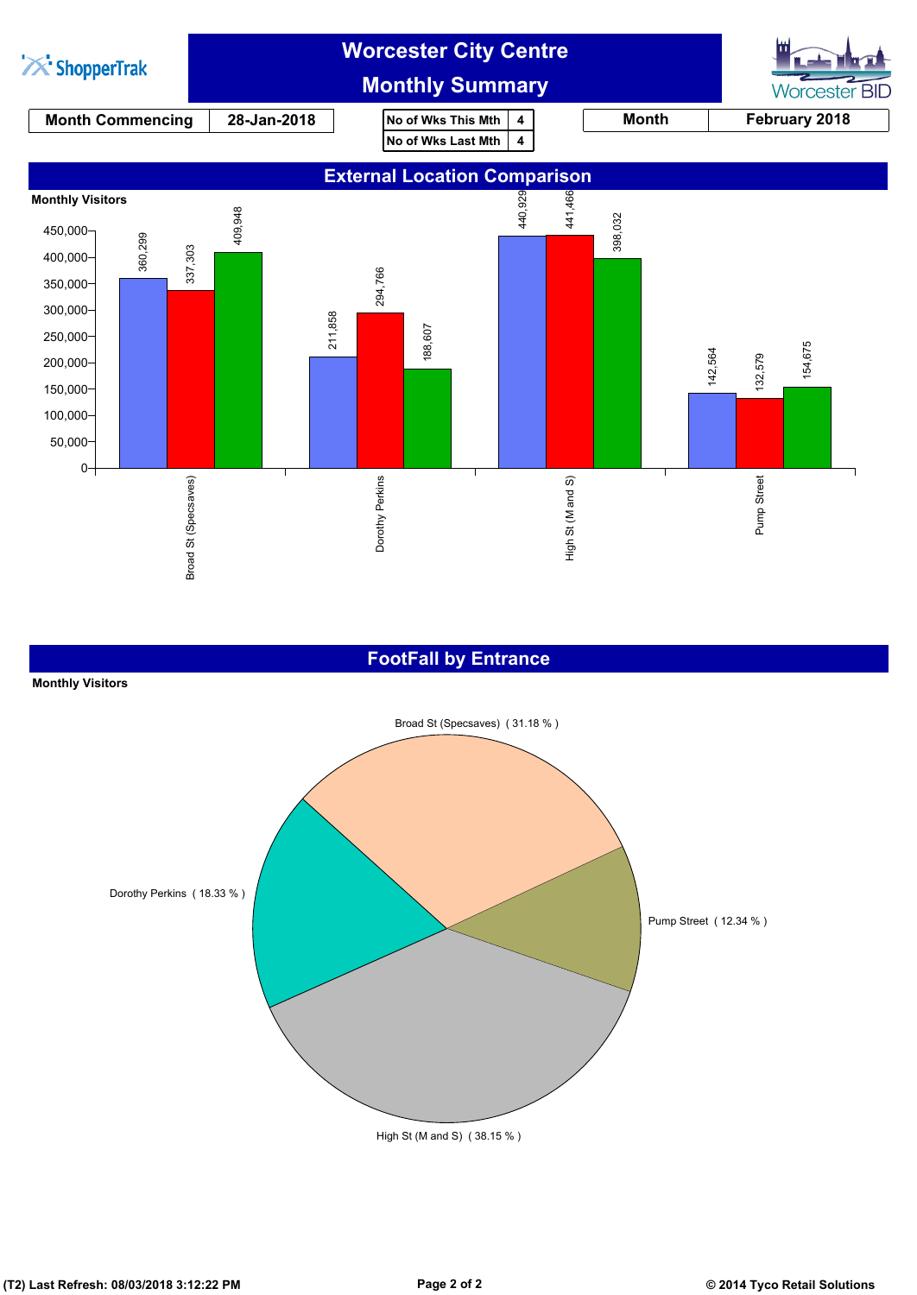

#### **FootFall by Entrance**

#### **Monthly Visitors**

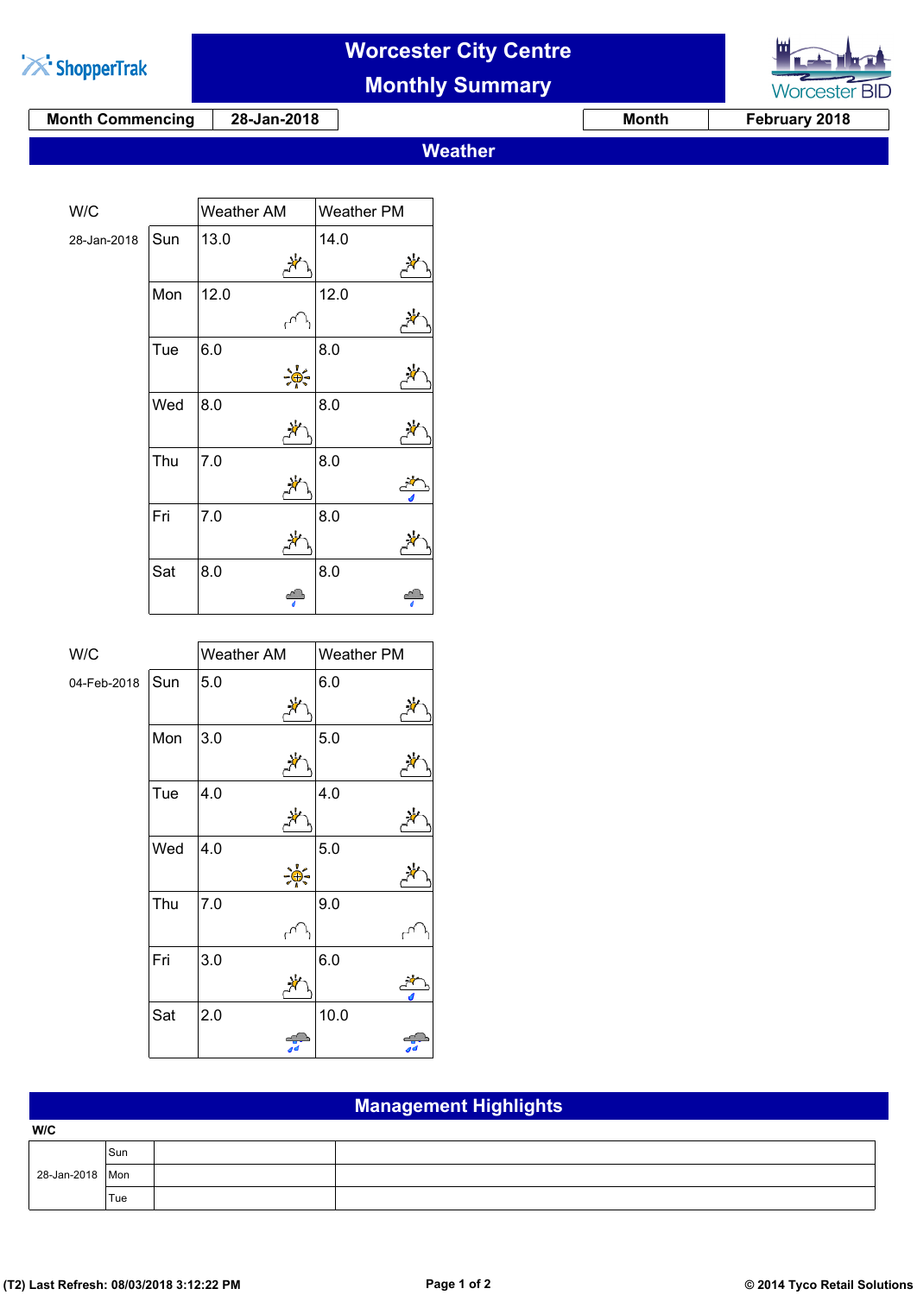

# **Worcester City Centre**

**Monthly Summary**

**Month Commencing 28-Jan-2018 Month February 2018**

**Worcester BID** 

**Weather**

| W/C         |     | Weather AM | Weather PM |
|-------------|-----|------------|------------|
| 28-Jan-2018 | Sun | 13.0       | 14.0       |
|             |     |            |            |
|             |     |            |            |
|             | Mon | 12.0       | 12.0       |
|             |     |            |            |
|             | Tue | 6.0        | 8.0        |
|             |     |            |            |
|             | Wed | 8.0        | 8.0        |
|             |     |            |            |
|             | Thu | 7.0        | 8.0        |
|             |     |            |            |
|             | Fri | 7.0        | 8.0        |
|             |     |            |            |
|             | Sat | 8.0        | 8.0        |
|             |     |            |            |

| W/C         |     | Weather AM | Weather PM |  |
|-------------|-----|------------|------------|--|
|             |     |            |            |  |
| 04-Feb-2018 | Sun | 5.0        | 6.0        |  |
|             |     |            |            |  |
|             | Mon | 3.0        | 5.0        |  |
|             |     |            |            |  |
|             | Tue | 4.0        | 4.0        |  |
|             |     |            |            |  |
|             | Wed | 4.0        | 5.0        |  |
|             |     |            |            |  |
|             | Thu | 7.0        | 9.0        |  |
|             |     |            |            |  |
|             | Fri | 3.0        | 6.0        |  |
|             |     |            |            |  |
|             | Sat | 2.0        | 10.0       |  |
|             |     |            |            |  |

### **Management Highlights**

| W/C               |     |  |
|-------------------|-----|--|
|                   | Sun |  |
| 28-Jan-2018   Mon |     |  |
|                   | Tue |  |